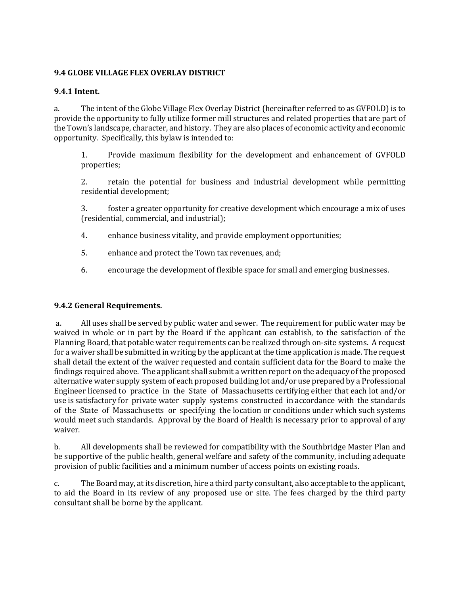#### **9.4 GLOBE VILLAGE FLEX OVERLAY DISTRICT**

#### **9.4.1 Intent.**

a. The intent of the Globe Village Flex Overlay District (hereinafter referred to as GVFOLD) is to provide the opportunity to fully utilize former mill structures and related properties that are part of the Town's landscape, character, and history. They are also places of economic activity and economic opportunity. Specifically, this bylaw is intended to:

1. Provide maximum flexibility for the development and enhancement of GVFOLD properties;

2. retain the potential for business and industrial development while permitting residential development;

3. foster a greater opportunity for creative development which encourage a mix of uses (residential, commercial, and industrial);

- 4. enhance business vitality, and provide employment opportunities;
- 5. enhance and protect the Town tax revenues, and;
- 6. encourage the development of flexible space for small and emerging businesses.

#### **9.4.2 General Requirements.**

a. All uses shall be served by public water and sewer. The requirement for public water may be waived in whole or in part by the Board if the applicant can establish, to the satisfaction of the Planning Board, that potable water requirements can be realized through on-site systems. A request for a waiver shall be submitted in writing by the applicant at the time application is made. The request shall detail the extent of the waiver requested and contain sufficient data for the Board to make the findings required above. The applicant shall submit a written report on the adequacy of the proposed alternative water supply system of each proposed building lot and/or use prepared by a Professional Engineer licensed to practice in the State of Massachusetts certifying either that each lot and/or use is satisfactory for private water supply systems constructed in accordance with the standards of the State of Massachusetts or specifying the location or conditions under which such systems would meet such standards. Approval by the Board of Health is necessary prior to approval of any waiver.

b. All developments shall be reviewed for compatibility with the Southbridge Master Plan and be supportive of the public health, general welfare and safety of the community, including adequate provision of public facilities and a minimum number of access points on existing roads.

c. The Board may, at its discretion, hire a third party consultant, also acceptable to the applicant, to aid the Board in its review of any proposed use or site. The fees charged by the third party consultant shall be borne by the applicant.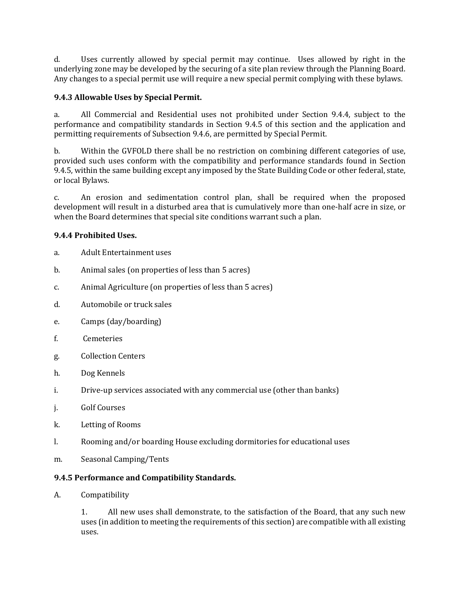d. Uses currently allowed by special permit may continue. Uses allowed by right in the underlying zone may be developed by the securing of a site plan review through the Planning Board. Any changes to a special permit use will require a new special permit complying with these bylaws.

## **9.4.3 Allowable Uses by Special Permit.**

a. All Commercial and Residential uses not prohibited under Section 9.4.4, subject to the performance and compatibility standards in Section 9.4.5 of this section and the application and permitting requirements of Subsection 9.4.6, are permitted by Special Permit.

b. Within the GVFOLD there shall be no restriction on combining different categories of use, provided such uses conform with the compatibility and performance standards found in Section 9.4.5, within the same building except any imposed by the State Building Code or other federal, state, or local Bylaws.

c. An erosion and sedimentation control plan, shall be required when the proposed development will result in a disturbed area that is cumulatively more than one-half acre in size, or when the Board determines that special site conditions warrant such a plan.

## **9.4.4 Prohibited Uses.**

- a. Adult Entertainment uses
- b. Animal sales (on properties of less than 5 acres)
- c. Animal Agriculture (on properties of less than 5 acres)
- d. Automobile or truck sales
- e. Camps (day/boarding)
- f. Cemeteries
- g. Collection Centers
- h. Dog Kennels
- i. Drive-up services associated with any commercial use (other than banks)
- j. Golf Courses
- k. Letting of Rooms
- l. Rooming and/or boarding House excluding dormitories for educational uses
- m. Seasonal Camping/Tents

#### **9.4.5 Performance and Compatibility Standards.**

A. Compatibility

1. All new uses shall demonstrate, to the satisfaction of the Board, that any such new uses (in addition to meeting the requirements of this section) are compatible with all existing uses.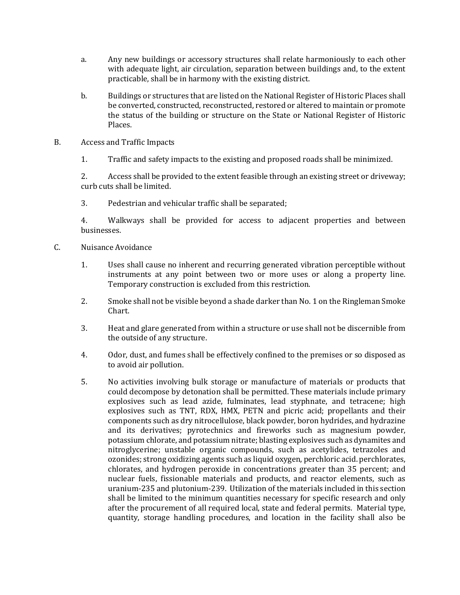- a. Any new buildings or accessory structures shall relate harmoniously to each other with adequate light, air circulation, separation between buildings and, to the extent practicable, shall be in harmony with the existing district.
- b. Buildings or structures that are listed on the National Register of Historic Places shall be converted, constructed, reconstructed, restored or altered to maintain or promote the status of the building or structure on the State or National Register of Historic Places.
- B. Access and Traffic Impacts
	- 1. Traffic and safety impacts to the existing and proposed roads shall be minimized.

2. Access shall be provided to the extent feasible through an existing street or driveway; curb cuts shall be limited.

3. Pedestrian and vehicular traffic shall be separated;

4. Walkways shall be provided for access to adjacent properties and between businesses.

- C. Nuisance Avoidance
	- 1. Uses shall cause no inherent and recurring generated vibration perceptible without instruments at any point between two or more uses or along a property line. Temporary construction is excluded from this restriction.
	- 2. Smoke shall not be visible beyond a shade darker than No. 1 on the Ringleman Smoke Chart.
	- 3. Heat and glare generated from within a structure or use shall not be discernible from the outside of any structure.
	- 4. Odor, dust, and fumes shall be effectively confined to the premises or so disposed as to avoid air pollution.
	- 5. No activities involving bulk storage or manufacture of materials or products that could decompose by detonation shall be permitted. These materials include primary explosives such as lead azide, fulminates, lead styphnate, and tetracene; high explosives such as TNT, RDX, HMX, PETN and picric acid; propellants and their components such as dry nitrocellulose, black powder, boron hydrides, and hydrazine and its derivatives; pyrotechnics and fireworks such as magnesium powder, potassium chlorate, and potassium nitrate; blasting explosives such as dynamites and nitroglycerine; unstable organic compounds, such as acetylides, tetrazoles and ozonides; strong oxidizing agents such as liquid oxygen, perchloric acid. perchlorates, chlorates, and hydrogen peroxide in concentrations greater than 35 percent; and nuclear fuels, fissionable materials and products, and reactor elements, such as uranium-235 and plutonium-239. Utilization of the materials included in this section shall be limited to the minimum quantities necessary for specific research and only after the procurement of all required local, state and federal permits. Material type, quantity, storage handling procedures, and location in the facility shall also be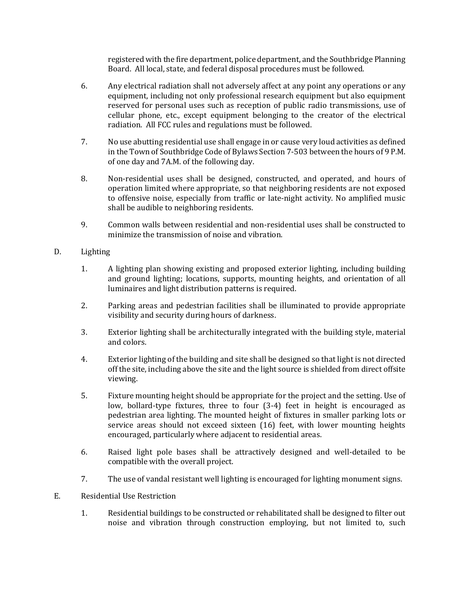registered with the fire department, police department, and the Southbridge Planning Board. All local, state, and federal disposal procedures must be followed.

- 6. Any electrical radiation shall not adversely affect at any point any operations or any equipment, including not only professional research equipment but also equipment reserved for personal uses such as reception of public radio transmissions, use of cellular phone, etc., except equipment belonging to the creator of the electrical radiation. All FCC rules and regulations must be followed.
- 7. No use abutting residential use shall engage in or cause very loud activities as defined in the Town of Southbridge Code of Bylaws Section 7-503 between the hours of 9 P.M. of one day and 7A.M. of the following day.
- 8. Non-residential uses shall be designed, constructed, and operated, and hours of operation limited where appropriate, so that neighboring residents are not exposed to offensive noise, especially from traffic or late-night activity. No amplified music shall be audible to neighboring residents.
- 9. Common walls between residential and non-residential uses shall be constructed to minimize the transmission of noise and vibration.

## D. Lighting

- 1. A lighting plan showing existing and proposed exterior lighting, including building and ground lighting; locations, supports, mounting heights, and orientation of all luminaires and light distribution patterns is required.
- 2. Parking areas and pedestrian facilities shall be illuminated to provide appropriate visibility and security during hours of darkness.
- 3. Exterior lighting shall be architecturally integrated with the building style, material and colors.
- 4. Exterior lighting of the building and site shall be designed so that light is not directed off the site, including above the site and the light source is shielded from direct offsite viewing.
- 5. Fixture mounting height should be appropriate for the project and the setting. Use of low, bollard-type fixtures, three to four (3-4) feet in height is encouraged as pedestrian area lighting. The mounted height of fixtures in smaller parking lots or service areas should not exceed sixteen (16) feet, with lower mounting heights encouraged, particularly where adjacent to residential areas.
- 6. Raised light pole bases shall be attractively designed and well-detailed to be compatible with the overall project.
- 7. The use of vandal resistant well lighting is encouraged for lighting monument signs.

## E. Residential Use Restriction

1. Residential buildings to be constructed or rehabilitated shall be designed to filter out noise and vibration through construction employing, but not limited to, such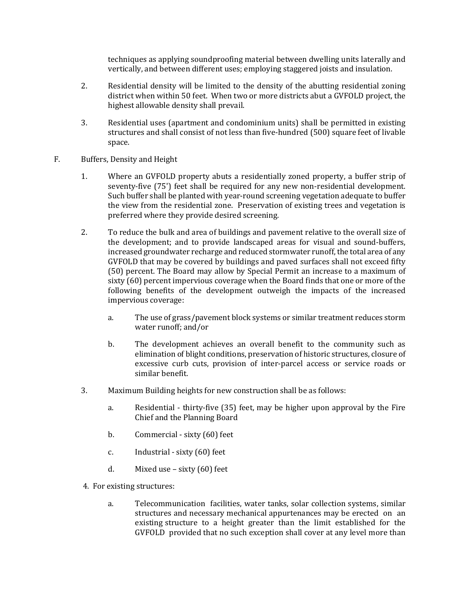techniques as applying soundproofing material between dwelling units laterally and vertically, and between different uses; employing staggered joists and insulation.

- 2. Residential density will be limited to the density of the abutting residential zoning district when within 50 feet. When two or more districts abut a GVFOLD project, the highest allowable density shall prevail.
- 3. Residential uses (apartment and condominium units) shall be permitted in existing structures and shall consist of not less than five-hundred (500) square feet of livable space.
- F. Buffers, Density and Height
	- 1. Where an GVFOLD property abuts a residentially zoned property, a buffer strip of seventy-five (75') feet shall be required for any new non-residential development. Such buffer shall be planted with year-round screening vegetation adequate to buffer the view from the residential zone. Preservation of existing trees and vegetation is preferred where they provide desired screening.
	- 2. To reduce the bulk and area of buildings and pavement relative to the overall size of the development; and to provide landscaped areas for visual and sound-buffers, increased groundwater recharge and reduced stormwater runoff, the total area of any GVFOLD that may be covered by buildings and paved surfaces shall not exceed fifty (50) percent. The Board may allow by Special Permit an increase to a maximum of sixty (60) percent impervious coverage when the Board finds that one or more of the following benefits of the development outweigh the impacts of the increased impervious coverage:
		- a. The use of grass/pavement block systems or similar treatment reduces storm water runoff; and/or
		- b. The development achieves an overall benefit to the community such as elimination of blight conditions, preservation of historic structures, closure of excessive curb cuts, provision of inter-parcel access or service roads or similar benefit.
	- 3. Maximum Building heights for new construction shall be as follows:
		- a. Residential thirty-five (35) feet, may be higher upon approval by the Fire Chief and the Planning Board
		- b. Commercial sixty (60) feet
		- c. Industrial sixty (60) feet
		- d. Mixed use sixty (60) feet
	- 4. For existing structures:
		- a. Telecommunication facilities, water tanks, solar collection systems, similar structures and necessary mechanical appurtenances may be erected on an existing structure to a height greater than the limit established for the GVFOLD provided that no such exception shall cover at any level more than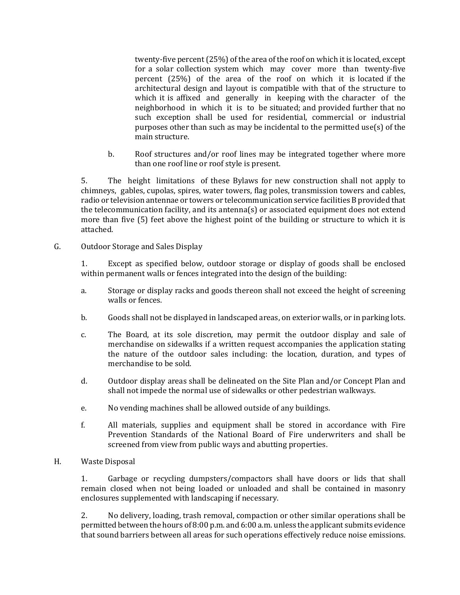twenty-five percent (25%) of the area of the roof on which it is located, except for a solar collection system which may cover more than twenty-five percent (25%) of the area of the roof on which it is located if the architectural design and layout is compatible with that of the structure to which it is affixed and generally in keeping with the character of the neighborhood in which it is to be situated; and provided further that no such exception shall be used for residential, commercial or industrial purposes other than such as may be incidental to the permitted use $(s)$  of the main structure.

b. Roof structures and/or roof lines may be integrated together where more than one roof line or roof style is present.

5. The height limitations of these Bylaws for new construction shall not apply to chimneys, gables, cupolas, spires, water towers, flag poles, transmission towers and cables, radio or television antennae or towers or telecommunication service facilities B provided that the telecommunication facility, and its antenna(s) or associated equipment does not extend more than five (5) feet above the highest point of the building or structure to which it is attached.

G. Outdoor Storage and Sales Display

1. Except as specified below, outdoor storage or display of goods shall be enclosed within permanent walls or fences integrated into the design of the building:

- a. Storage or display racks and goods thereon shall not exceed the height of screening walls or fences.
- b. Goods shall not be displayed in landscaped areas, on exterior walls, or in parking lots.
- c. The Board, at its sole discretion, may permit the outdoor display and sale of merchandise on sidewalks if a written request accompanies the application stating the nature of the outdoor sales including: the location, duration, and types of merchandise to be sold.
- d. Outdoor display areas shall be delineated on the Site Plan and/or Concept Plan and shall not impede the normal use of sidewalks or other pedestrian walkways.
- e. No vending machines shall be allowed outside of any buildings.
- f. All materials, supplies and equipment shall be stored in accordance with Fire Prevention Standards of the National Board of Fire underwriters and shall be screened from view from public ways and abutting properties.
- H. Waste Disposal

1. Garbage or recycling dumpsters/compactors shall have doors or lids that shall remain closed when not being loaded or unloaded and shall be contained in masonry enclosures supplemented with landscaping if necessary.

2. No delivery, loading, trash removal, compaction or other similar operations shall be permitted between the hours of 8:00 p.m. and 6:00 a.m. unless the applicant submits evidence that sound barriers between all areas for such operations effectively reduce noise emissions.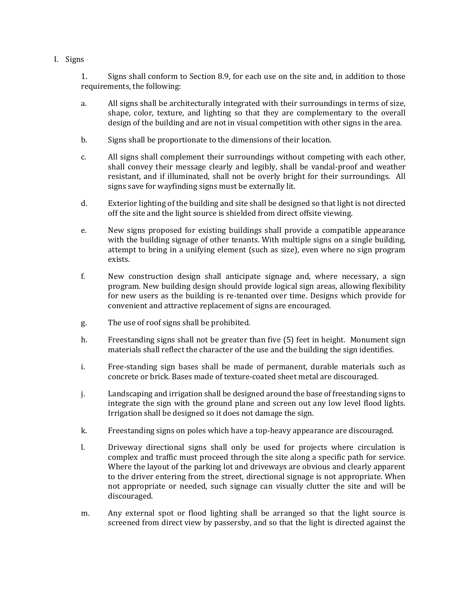I. Signs

1. Signs shall conform to Section 8.9, for each use on the site and, in addition to those requirements, the following:

- a. All signs shall be architecturally integrated with their surroundings in terms of size, shape, color, texture, and lighting so that they are complementary to the overall design of the building and are not in visual competition with other signs in the area.
- b. Signs shall be proportionate to the dimensions of their location.
- c. All signs shall complement their surroundings without competing with each other, shall convey their message clearly and legibly, shall be vandal-proof and weather resistant, and if illuminated, shall not be overly bright for their surroundings. All signs save for wayfinding signs must be externally lit.
- d. Exterior lighting of the building and site shall be designed so that light is not directed off the site and the light source is shielded from direct offsite viewing.
- e. New signs proposed for existing buildings shall provide a compatible appearance with the building signage of other tenants. With multiple signs on a single building, attempt to bring in a unifying element (such as size), even where no sign program exists.
- f. New construction design shall anticipate signage and, where necessary, a sign program. New building design should provide logical sign areas, allowing flexibility for new users as the building is re-tenanted over time. Designs which provide for convenient and attractive replacement of signs are encouraged.
- g. The use of roof signs shall be prohibited.
- h. Freestanding signs shall not be greater than five (5) feet in height. Monument sign materials shall reflect the character of the use and the building the sign identifies.
- i. Free-standing sign bases shall be made of permanent, durable materials such as concrete or brick. Bases made of texture-coated sheet metal are discouraged.
- j. Landscaping and irrigation shall be designed around the base of freestanding signs to integrate the sign with the ground plane and screen out any low level flood lights. Irrigation shall be designed so it does not damage the sign.
- k. Freestanding signs on poles which have a top-heavy appearance are discouraged.
- l. Driveway directional signs shall only be used for projects where circulation is complex and traffic must proceed through the site along a specific path for service. Where the layout of the parking lot and driveways are obvious and clearly apparent to the driver entering from the street, directional signage is not appropriate. When not appropriate or needed, such signage can visually clutter the site and will be discouraged.
- m. Any external spot or flood lighting shall be arranged so that the light source is screened from direct view by passersby, and so that the light is directed against the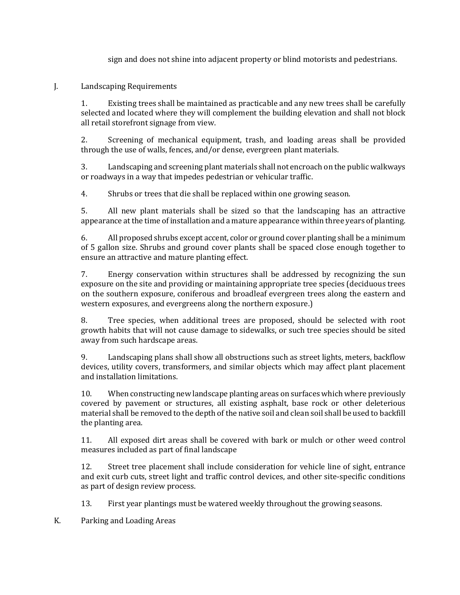sign and does not shine into adjacent property or blind motorists and pedestrians.

#### J. Landscaping Requirements

1. Existing trees shall be maintained as practicable and any new trees shall be carefully selected and located where they will complement the building elevation and shall not block all retail storefront signage from view.

2. Screening of mechanical equipment, trash, and loading areas shall be provided through the use of walls, fences, and/or dense, evergreen plant materials.

3. Landscaping and screening plant materials shall not encroach on the public walkways or roadways in a way that impedes pedestrian or vehicular traffic.

4. Shrubs or trees that die shall be replaced within one growing season.

5. All new plant materials shall be sized so that the landscaping has an attractive appearance at the time of installation and a mature appearance within three years of planting.

6. All proposed shrubs except accent, color or ground cover planting shall be a minimum of 5 gallon size. Shrubs and ground cover plants shall be spaced close enough together to ensure an attractive and mature planting effect.

7. Energy conservation within structures shall be addressed by recognizing the sun exposure on the site and providing or maintaining appropriate tree species (deciduous trees on the southern exposure, coniferous and broadleaf evergreen trees along the eastern and western exposures, and evergreens along the northern exposure.)

8. Tree species, when additional trees are proposed, should be selected with root growth habits that will not cause damage to sidewalks, or such tree species should be sited away from such hardscape areas.

9. Landscaping plans shall show all obstructions such as street lights, meters, backflow devices, utility covers, transformers, and similar objects which may affect plant placement and installation limitations.

10. When constructing new landscape planting areas on surfaces which where previously covered by pavement or structures, all existing asphalt, base rock or other deleterious material shall be removed to the depth of the native soil and clean soil shall be used to backfill the planting area.

11. All exposed dirt areas shall be covered with bark or mulch or other weed control measures included as part of final landscape

12. Street tree placement shall include consideration for vehicle line of sight, entrance and exit curb cuts, street light and traffic control devices, and other site-specific conditions as part of design review process.

13. First year plantings must be watered weekly throughout the growing seasons.

K. Parking and Loading Areas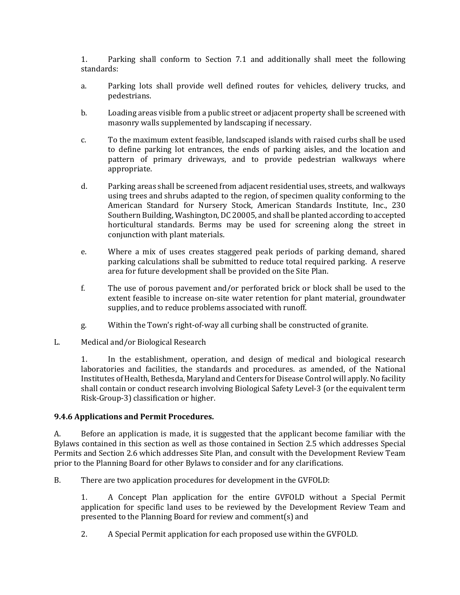1. Parking shall conform to Section 7.1 and additionally shall meet the following standards:

- a. Parking lots shall provide well defined routes for vehicles, delivery trucks, and pedestrians.
- b. Loading areas visible from a public street or adjacent property shall be screened with masonry walls supplemented by landscaping if necessary.
- c. To the maximum extent feasible, landscaped islands with raised curbs shall be used to define parking lot entrances, the ends of parking aisles, and the location and pattern of primary driveways, and to provide pedestrian walkways where appropriate.
- d. Parking areas shall be screened from adjacent residential uses, streets, and walkways using trees and shrubs adapted to the region, of specimen quality conforming to the American Standard for Nursery Stock, American Standards Institute, Inc., 230 Southern Building, Washington, DC 20005, and shall be planted according to accepted horticultural standards. Berms may be used for screening along the street in conjunction with plant materials.
- e. Where a mix of uses creates staggered peak periods of parking demand, shared parking calculations shall be submitted to reduce total required parking. A reserve area for future development shall be provided on the Site Plan.
- f. The use of porous pavement and/or perforated brick or block shall be used to the extent feasible to increase on-site water retention for plant material, groundwater supplies, and to reduce problems associated with runoff.
- g. Within the Town's right-of-way all curbing shall be constructed of granite.
- L. Medical and/or Biological Research

1. In the establishment, operation, and design of medical and biological research laboratories and facilities, the standards and procedures. as amended, of the National Institutes of Health, Bethesda, Maryland and Centers for Disease Control will apply. No facility shall contain or conduct research involving Biological Safety Level-3 (or the equivalent term Risk-Group-3) classification or higher.

# **9.4.6 Applications and Permit Procedures.**

A. Before an application is made, it is suggested that the applicant become familiar with the Bylaws contained in this section as well as those contained in Section 2.5 which addresses Special Permits and Section 2.6 which addresses Site Plan, and consult with the Development Review Team prior to the Planning Board for other Bylaws to consider and for any clarifications.

B. There are two application procedures for development in the GVFOLD:

1. A Concept Plan application for the entire GVFOLD without a Special Permit application for specific land uses to be reviewed by the Development Review Team and presented to the Planning Board for review and comment(s) and

2. A Special Permit application for each proposed use within the GVFOLD.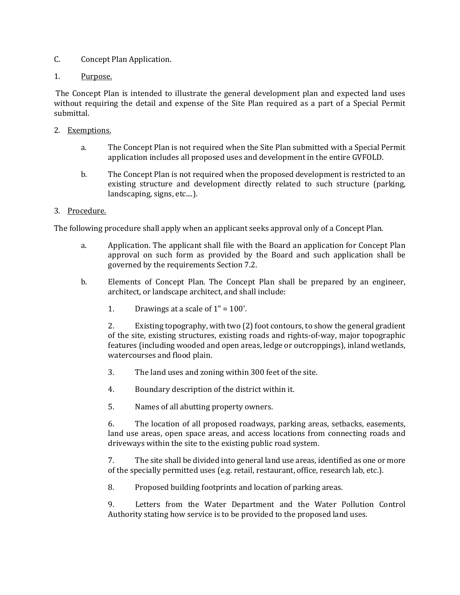- C. Concept Plan Application.
- 1. Purpose.

The Concept Plan is intended to illustrate the general development plan and expected land uses without requiring the detail and expense of the Site Plan required as a part of a Special Permit submittal.

- 2. Exemptions.
	- a. The Concept Plan is not required when the Site Plan submitted with a Special Permit application includes all proposed uses and development in the entire GVFOLD.
	- b. The Concept Plan is not required when the proposed development is restricted to an existing structure and development directly related to such structure (parking, landscaping, signs, etc....).

## 3. Procedure.

The following procedure shall apply when an applicant seeks approval only of a Concept Plan.

- a. Application. The applicant shall file with the Board an application for Concept Plan approval on such form as provided by the Board and such application shall be governed by the requirements Section 7.2.
- b. Elements of Concept Plan. The Concept Plan shall be prepared by an engineer, architect, or landscape architect, and shall include:
	- 1. Drawings at a scale of  $1" = 100'$ .

2. Existing topography, with two (2) foot contours, to show the general gradient of the site, existing structures, existing roads and rights-of-way, major topographic features (including wooded and open areas, ledge or outcroppings), inland wetlands, watercourses and flood plain.

- 3. The land uses and zoning within 300 feet of the site.
- 4. Boundary description of the district within it.
- 5. Names of all abutting property owners.

6. The location of all proposed roadways, parking areas, setbacks, easements, land use areas, open space areas, and access locations from connecting roads and driveways within the site to the existing public road system.

7. The site shall be divided into general land use areas, identified as one or more of the specially permitted uses (e.g. retail, restaurant, office, research lab, etc.).

8. Proposed building footprints and location of parking areas.

9. Letters from the Water Department and the Water Pollution Control Authority stating how service is to be provided to the proposed land uses.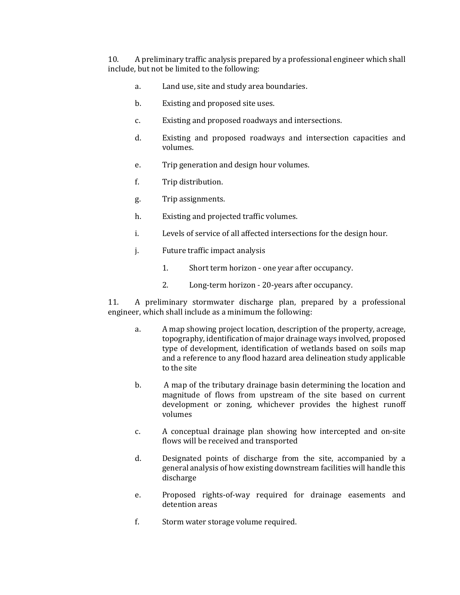10. A preliminary traffic analysis prepared by a professional engineer which shall include, but not be limited to the following:

- a. Land use, site and study area boundaries.
- b. Existing and proposed site uses.
- c. Existing and proposed roadways and intersections.
- d. Existing and proposed roadways and intersection capacities and volumes.
- e. Trip generation and design hour volumes.
- f. Trip distribution.
- g. Trip assignments.
- h. Existing and projected traffic volumes.
- i. Levels of service of all affected intersections for the design hour.
- j. Future traffic impact analysis
	- 1. Short term horizon one year after occupancy.
	- 2. Long-term horizon 20-years after occupancy.

11. A preliminary stormwater discharge plan, prepared by a professional engineer, which shall include as a minimum the following:

- a. A map showing project location, description of the property, acreage, topography, identification of major drainage ways involved, proposed type of development, identification of wetlands based on soils map and a reference to any flood hazard area delineation study applicable to the site
- b. A map of the tributary drainage basin determining the location and magnitude of flows from upstream of the site based on current development or zoning, whichever provides the highest runoff volumes
- c. A conceptual drainage plan showing how intercepted and on-site flows will be received and transported
- d. Designated points of discharge from the site, accompanied by a general analysis of how existing downstream facilities will handle this discharge
- e. Proposed rights-of-way required for drainage easements and detention areas
- f. Storm water storage volume required.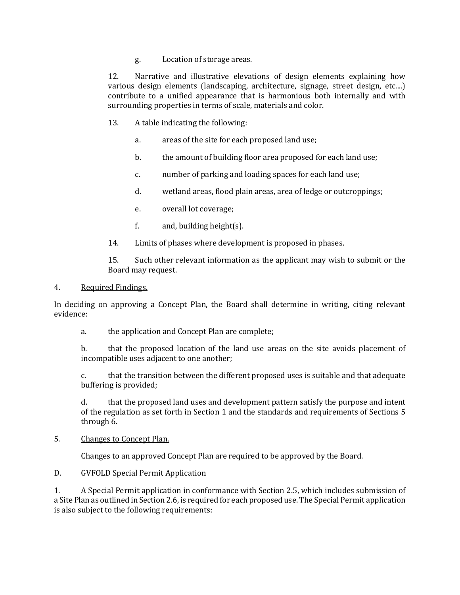g. Location of storage areas.

12. Narrative and illustrative elevations of design elements explaining how various design elements (landscaping, architecture, signage, street design, etc....) contribute to a unified appearance that is harmonious both internally and with surrounding properties in terms of scale, materials and color.

- 13. A table indicating the following:
	- a. areas of the site for each proposed land use;
	- b. the amount of building floor area proposed for each land use;
	- c. number of parking and loading spaces for each land use;
	- d. wetland areas, flood plain areas, area of ledge or outcroppings;
	- e. overall lot coverage;
	- f.  $and, building height(s)$ .
- 14. Limits of phases where development is proposed in phases.

15. Such other relevant information as the applicant may wish to submit or the Board may request.

#### 4. Required Findings.

In deciding on approving a Concept Plan, the Board shall determine in writing, citing relevant evidence:

a. the application and Concept Plan are complete;

b. that the proposed location of the land use areas on the site avoids placement of incompatible uses adjacent to one another;

c. that the transition between the different proposed uses is suitable and that adequate buffering is provided;

d. that the proposed land uses and development pattern satisfy the purpose and intent of the regulation as set forth in Section 1 and the standards and requirements of Sections 5 through 6.

#### 5. Changes to Concept Plan.

Changes to an approved Concept Plan are required to be approved by the Board.

#### D. GVFOLD Special Permit Application

1. A Special Permit application in conformance with Section 2.5, which includes submission of a Site Plan as outlined in Section 2.6, is required for each proposed use. The Special Permit application is also subject to the following requirements: